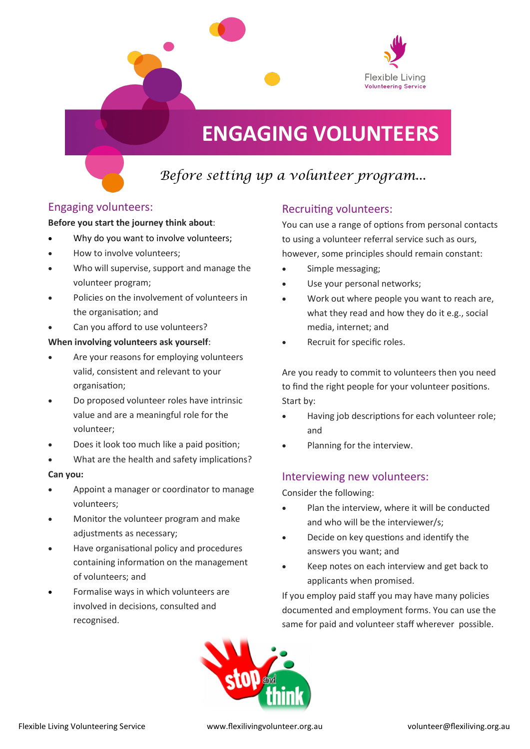

# **ENGAGING VOLUNTEERS**

# *Before setting up a volunteer program...*

### Engaging volunteers:

#### **Before you start the journey think about**:

- Why do you want to involve volunteers;
- How to involve volunteers;
- Who will supervise, support and manage the volunteer program;
- Policies on the involvement of volunteers in the organisation; and
- Can you afford to use volunteers?

#### **When involving volunteers ask yourself**:

- Are your reasons for employing volunteers valid, consistent and relevant to your organisation;
- Do proposed volunteer roles have intrinsic value and are a meaningful role for the volunteer;
- Does it look too much like a paid position;
- What are the health and safety implications?

#### **Can you:**

- Appoint a manager or coordinator to manage volunteers;
- Monitor the volunteer program and make adjustments as necessary;
- Have organisational policy and procedures containing information on the management of volunteers; and
- Formalise ways in which volunteers are involved in decisions, consulted and recognised.

## Recruiting volunteers:

You can use a range of options from personal contacts to using a volunteer referral service such as ours, however, some principles should remain constant:

- Simple messaging;
- Use your personal networks;
- Work out where people you want to reach are, what they read and how they do it e.g., social media, internet; and
- Recruit for specific roles.

Are you ready to commit to volunteers then you need to find the right people for your volunteer positions. Start by:

- Having job descriptions for each volunteer role; and
- Planning for the interview.

### Interviewing new volunteers:

Consider the following:

- Plan the interview, where it will be conducted and who will be the interviewer/s;
- Decide on key questions and identify the answers you want; and
- Keep notes on each interview and get back to applicants when promised.

If you employ paid staff you may have many policies documented and employment forms. You can use the same for paid and volunteer staff wherever possible.